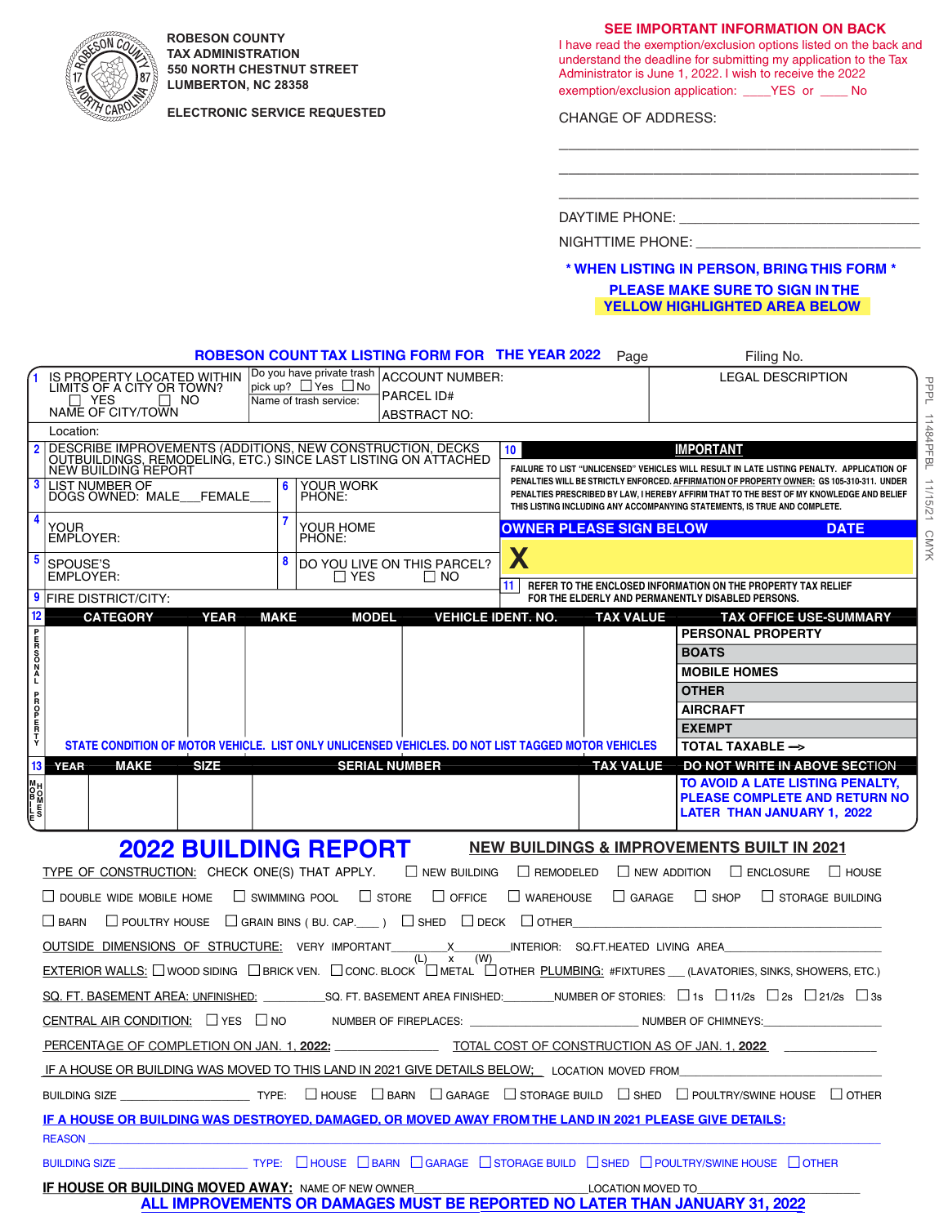

**ROBESON COUNTY TAX ADMINISTRATION 550 NORTH CHESTNUT STREET LUMBERTON, NC 28358**

**ELECTRONIC SERVICE REQUESTED**

**SEE IMPORTANT INFORMATION ON BACK**

I have read the exemption/exclusion options listed on the back and understand the deadline for submitting my application to the Tax Administrator is June 1, 2022. I wish to receive the 2022 exemption/exclusion application: \_\_\_\_YES or \_\_\_\_ No

\_\_\_\_\_\_\_\_\_\_\_\_\_\_\_\_\_\_\_\_\_\_\_\_\_\_\_\_\_\_\_\_\_\_\_\_\_\_ \_\_\_\_\_\_\_\_\_\_\_\_\_\_\_\_\_\_\_\_\_\_\_\_\_\_\_\_\_\_\_\_\_\_\_\_\_\_ \_\_\_\_\_\_\_\_\_\_\_\_\_\_\_\_\_\_\_\_\_\_\_\_\_\_\_\_\_\_\_\_\_\_\_\_\_\_

CHANGE OF ADDRESS:

**IMPORTANT** DAYTIME PHONE: \_\_\_\_\_\_\_\_\_\_\_\_\_\_\_\_\_\_\_\_\_\_\_\_\_\_\_\_\_\_\_

NIGHTTIME PHONE:

# **PLEASE MAKE SURE TO SIGN IN THE \* WHEN LISTING IN PERSON, BRING THIS FORM \* YELLOW HIGHLIGHTED AREA BELOW**

PPPL 11484PFBL 1

PPPL 11484PFBL 11/15/21 CMYK

CMYK

Page Filing No. **ROBESON COUNT TAX LISTING FORM FOR** THE YEAR 2022

| IS PROPERTY LOCATED WITHIN                                                                                                                                                                                                           | Do you have private trash<br><b>ACCOUNT NUMBER:</b><br>$ $ pick up? $\Box$ Yes $\Box$ No           | <b>LEGAL DESCRIPTION</b>                                                                                                                                                                                                                                           |  |
|--------------------------------------------------------------------------------------------------------------------------------------------------------------------------------------------------------------------------------------|----------------------------------------------------------------------------------------------------|--------------------------------------------------------------------------------------------------------------------------------------------------------------------------------------------------------------------------------------------------------------------|--|
| LIMITS OF A CITY OR TOWN?<br>$\Box$ YES<br>$\Box$ NO                                                                                                                                                                                 | <b>PARCEL ID#</b><br>Name of trash service:                                                        |                                                                                                                                                                                                                                                                    |  |
| NAME OF CITY/TOWN                                                                                                                                                                                                                    | <b>ABSTRACT NO:</b>                                                                                |                                                                                                                                                                                                                                                                    |  |
| Location:                                                                                                                                                                                                                            |                                                                                                    |                                                                                                                                                                                                                                                                    |  |
| DESCRIBE IMPROVEMENTS (ADDITIONS, NEW CONSTRUCTION, DECKS<br>$\overline{2}$<br>OUTBUILDINGS, REMODELING, ETC.) SINCE LAST LISTING ON ATTACHED<br><b>NEW BUILDING REPORT</b>                                                          | $10-10$                                                                                            | <b>IMPORTANT</b><br>FAILURE TO LIST "UNLICENSED" VEHICLES WILL RESULT IN LATE LISTING PENALTY. APPLICATION OF                                                                                                                                                      |  |
| 3<br><b>LIST NUMBER OF</b><br>DOGS OWNED: MALE FEMALE                                                                                                                                                                                | <b>YOUR WORK</b><br>6<br>PHONE:                                                                    | PENALTIES WILL BE STRICTLY ENFORCED. AFFIRMATION OF PROPERTY OWNER: GS 105-310-311. UNDER<br>PENALTIES PRESCRIBED BY LAW, I HEREBY AFFIRM THAT TO THE BEST OF MY KNOWLEDGE AND BELIEF<br>THIS LISTING INCLUDING ANY ACCOMPANYING STATEMENTS, IS TRUE AND COMPLETE. |  |
| 4<br>YOUR<br><b>EMPLOYER:</b>                                                                                                                                                                                                        | YOUR HOME<br>PHONE:                                                                                | <b>OWNER PLEASE SIGN BELOW</b><br><b>DATE</b>                                                                                                                                                                                                                      |  |
| 5<br>SPOUSE'S<br>EMPLOYER:                                                                                                                                                                                                           | X<br>8<br><b>DO YOU LIVE ON THIS PARCEL?</b><br>$\Box$ YES<br>I I NO                               |                                                                                                                                                                                                                                                                    |  |
| <b>9 FIRE DISTRICT/CITY:</b>                                                                                                                                                                                                         | 11 <sup>1</sup>                                                                                    | REFER TO THE ENCLOSED INFORMATION ON THE PROPERTY TAX RELIEF<br>FOR THE ELDERLY AND PERMANENTLY DISABLED PERSONS.                                                                                                                                                  |  |
| 12<br><b>MAKE</b><br><b>VEHICLE IDENT. NO.</b><br><b>CATEGORY</b><br><b>YEAR</b><br><b>MODEL</b><br><b>TAX VALUE</b><br><b>TAX OFFICE USE-SUMMARY</b>                                                                                |                                                                                                    |                                                                                                                                                                                                                                                                    |  |
| auroo:                                                                                                                                                                                                                               |                                                                                                    | <b>PERSONAL PROPERTY</b>                                                                                                                                                                                                                                           |  |
|                                                                                                                                                                                                                                      |                                                                                                    | <b>BOATS</b>                                                                                                                                                                                                                                                       |  |
|                                                                                                                                                                                                                                      |                                                                                                    | <b>MOBILE HOMES</b>                                                                                                                                                                                                                                                |  |
|                                                                                                                                                                                                                                      |                                                                                                    | <b>OTHER</b>                                                                                                                                                                                                                                                       |  |
|                                                                                                                                                                                                                                      |                                                                                                    | <b>AIRCRAFT</b>                                                                                                                                                                                                                                                    |  |
| <b>AHRDDB</b>                                                                                                                                                                                                                        |                                                                                                    | <b>EXEMPT</b>                                                                                                                                                                                                                                                      |  |
|                                                                                                                                                                                                                                      | STATE CONDITION OF MOTOR VEHICLE. LIST ONLY UNLICENSED VEHICLES, DO NOT LIST TAGGED MOTOR VEHICLES | <b>TOTAL TAXABLE -&gt;</b>                                                                                                                                                                                                                                         |  |
| 13<br><b>MAKE</b><br><b>SIZE</b><br><b>YEAR</b>                                                                                                                                                                                      | <b>SERIAL NUMBER</b>                                                                               | DO NOT WRITE IN ABOVE SECTION<br><b>TAX VALUE</b><br>TO AVOID A LATE LISTING PENALTY,                                                                                                                                                                              |  |
| <del>mr−woz</del><br>∞mso≖                                                                                                                                                                                                           |                                                                                                    | <b>PLEASE COMPLETE AND RETURN NO</b><br><b>LATER THAN JANUARY 1, 2022</b>                                                                                                                                                                                          |  |
| <b>2022 BUILDING REPORT</b><br><b>NEW BUILDINGS &amp; IMPROVEMENTS BUILT IN 2021</b>                                                                                                                                                 |                                                                                                    |                                                                                                                                                                                                                                                                    |  |
| TYPE OF CONSTRUCTION: CHECK ONE(S) THAT APPLY. $\Box$ NEW BUILDING $\Box$ REMODELED<br>$\Box$ NEW ADDITION $\Box$ ENCLOSURE $\Box$ HOUSE                                                                                             |                                                                                                    |                                                                                                                                                                                                                                                                    |  |
| $\Box$ DOUBLE WIDE MOBILE HOME $\Box$ SWIMMING POOL $\Box$ STORE<br>$\Box$ OFFICE $\Box$ WAREHOUSE $\Box$ GARAGE $\Box$ SHOP $\Box$ STORAGE BUILDING                                                                                 |                                                                                                    |                                                                                                                                                                                                                                                                    |  |
| $\Box$ POULTRY HOUSE $\Box$ GRAIN BINS (BU. CAP. $\Box$ ) $\Box$ SHED $\Box$ DECK $\Box$ OTHER<br>$\Box$ BARN<br><u> 1989 - John Stone, Amerikaans en Stone (</u>                                                                    |                                                                                                    |                                                                                                                                                                                                                                                                    |  |
| OUTSIDE DIMENSIONS OF STRUCTURE: VERY IMPORTANT X METALLY INTERIOR: SO FT.HEATED LIVING AREA                                                                                                                                         |                                                                                                    |                                                                                                                                                                                                                                                                    |  |
| (L)<br>(W)<br>$\mathbf{x}$<br>EXTERIOR WALLS: U WOOD SIDING UBRICK VEN. U CONC. BLOCK U METAL U OTHER PLUMBING: #FIXTURES (LAVATORIES, SINKS, SHOWERS, ETC.)                                                                         |                                                                                                    |                                                                                                                                                                                                                                                                    |  |
| SQ. FT. BASEMENT AREA: UNFINISHED: SQ. FT. BASEMENT AREA FINISHED: NUMBER OF STORIES: □1s □1/2s □2s □21/2s □3s                                                                                                                       |                                                                                                    |                                                                                                                                                                                                                                                                    |  |
| CENTRAL AIR CONDITION: $\square$ YES $\square$ NO<br>NUMBER OF FIREPLACES: _________________________________NUMBER OF CHIMNEYS:_______                                                                                               |                                                                                                    |                                                                                                                                                                                                                                                                    |  |
| PERCENTAGE OF COMPLETION ON JAN. 1, 2022: TOTAL COST OF CONSTRUCTION AS OF JAN. 1, 2022                                                                                                                                              |                                                                                                    |                                                                                                                                                                                                                                                                    |  |
| IF A HOUSE OR BUILDING WAS MOVED TO THIS LAND IN 2021 GIVE DETAILS BELOW; LOCATION MOVED FROM                                                                                                                                        |                                                                                                    |                                                                                                                                                                                                                                                                    |  |
| BUILDING SIZE $\Box$ TYPE: $\Box$ HOUSE $\Box$ BARN $\Box$ GARAGE $\Box$ STORAGE BUILD $\Box$ SHED $\Box$ POULTRY/SWINE HOUSE $\Box$ OTHER                                                                                           |                                                                                                    |                                                                                                                                                                                                                                                                    |  |
| IF A HOUSE OR BUILDING WAS DESTROYED, DAMAGED, OR MOVED AWAY FROM THE LAND IN 2021 PLEASE GIVE DETAILS:                                                                                                                              |                                                                                                    |                                                                                                                                                                                                                                                                    |  |
| <b>REASON Example 20</b>                                                                                                                                                                                                             |                                                                                                    |                                                                                                                                                                                                                                                                    |  |
| BUILDING SIZE <b>STARF OF THE STARF OF STARF OF STARF OF STARF OF STARF OF STARF OF STARF OF STARF OF STARF OF STARF OF STARF OF STARF OF STARF OF STARF OF STARF OF STARF OF STARF OF STARF OF STARF OF STARF OF STARF OF STARF</b> |                                                                                                    |                                                                                                                                                                                                                                                                    |  |
| IF HOUSE OR BUILDING MOVED AWAY: NAME OF NEW OWNER<br>ALL IMPROVEMENTS OR DAMAGES MUST BE REPORTED NO LATER THAN JANUARY 31, 2022                                                                                                    |                                                                                                    |                                                                                                                                                                                                                                                                    |  |